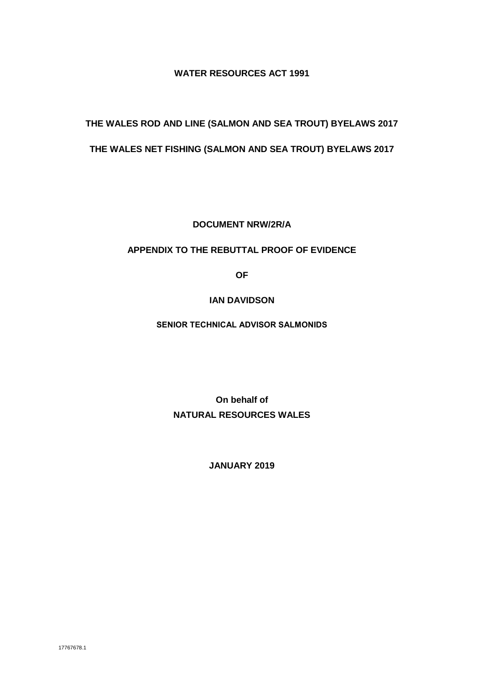#### **WATER RESOURCES ACT 1991**

# **THE WALES ROD AND LINE (SALMON AND SEA TROUT) BYELAWS 2017**

#### **THE WALES NET FISHING (SALMON AND SEA TROUT) BYELAWS 2017**

**DOCUMENT NRW/2R/A**

#### **APPENDIX TO THE REBUTTAL PROOF OF EVIDENCE**

**OF** 

#### **IAN DAVIDSON**

**SENIOR TECHNICAL ADVISOR SALMONIDS**

**On behalf of NATURAL RESOURCES WALES**

**JANUARY 2019**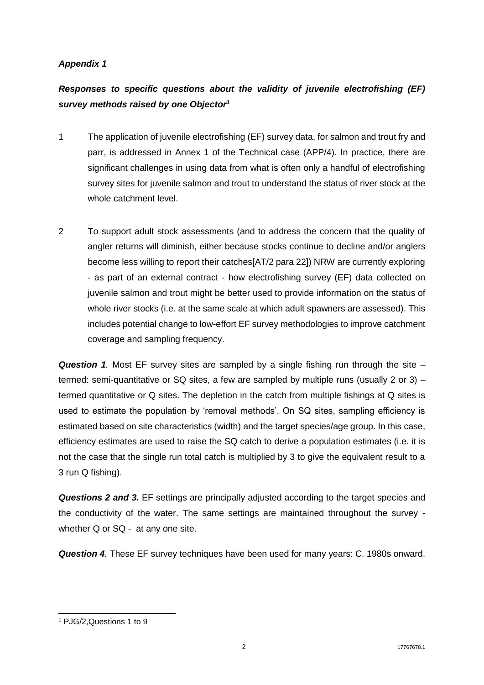### *Appendix 1*

## *Responses to specific questions about the validity of juvenile electrofishing (EF) survey methods raised by one Objector<sup>1</sup>*

- 1 The application of juvenile electrofishing (EF) survey data, for salmon and trout fry and parr, is addressed in Annex 1 of the Technical case (APP/4). In practice, there are significant challenges in using data from what is often only a handful of electrofishing survey sites for juvenile salmon and trout to understand the status of river stock at the whole catchment level.
- 2 To support adult stock assessments (and to address the concern that the quality of angler returns will diminish, either because stocks continue to decline and/or anglers become less willing to report their catches[AT/2 para 22]) NRW are currently exploring - as part of an external contract - how electrofishing survey (EF) data collected on juvenile salmon and trout might be better used to provide information on the status of whole river stocks (i.e. at the same scale at which adult spawners are assessed). This includes potential change to low-effort EF survey methodologies to improve catchment coverage and sampling frequency.

*Question 1.* Most EF survey sites are sampled by a single fishing run through the site – termed: semi-quantitative or SQ sites, a few are sampled by multiple runs (usually 2 or 3) – termed quantitative or Q sites. The depletion in the catch from multiple fishings at Q sites is used to estimate the population by 'removal methods'. On SQ sites, sampling efficiency is estimated based on site characteristics (width) and the target species/age group. In this case, efficiency estimates are used to raise the SQ catch to derive a population estimates (i.e. it is not the case that the single run total catch is multiplied by 3 to give the equivalent result to a 3 run Q fishing).

*Questions 2 and 3.* EF settings are principally adjusted according to the target species and the conductivity of the water. The same settings are maintained throughout the survey whether Q or SQ - at any one site.

*Question 4.* These EF survey techniques have been used for many years: C. 1980s onward.

<sup>1</sup> <sup>1</sup> PJG/2,Questions 1 to 9